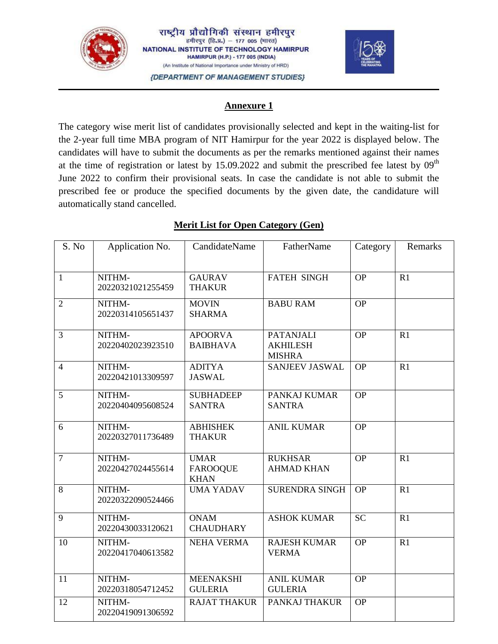

20220419091306592



#### **Annexure 1**

The category wise merit list of candidates provisionally selected and kept in the waiting-list for the 2-year full time MBA program of NIT Hamirpur for the year 2022 is displayed below. The candidates will have to submit the documents as per the remarks mentioned against their names at the time of registration or latest by  $15.09.2022$  and submit the prescribed fee latest by  $09<sup>th</sup>$ June 2022 to confirm their provisional seats. In case the candidate is not able to submit the prescribed fee or produce the specified documents by the given date, the candidature will automatically stand cancelled.

#### S. No | Application No. | CandidateName | FatherName | Category | Remarks 1 NITHM-20220321021255459 GAURAV THAKUR FATEH SINGH OP R1 2 NITHM-20220314105651437 **MOVIN** SHARMA BABU RAM OP 3 NITHM-20220402023923510 APOORVA BAIBHAVA PATANJALI AKHILESH MISHRA  $OP$  R1 4 NITHM-20220421013309597 ADITYA JASWAL SANJEEV JASWAL OP R1 5 NITHM-20220404095608524 **SUBHADEEP** SANTRA PANKAJ KUMAR SANTRA OP 6 NITHM-20220327011736489 ABHISHEK THAKUR ANIL KUMAR OP 7 NITHM-20220427024455614 UMAR FAROOQUE KHAN RUKHSAR AHMAD KHAN OP R1 8 NITHM-20220322090524466 UMA YADAV SURENDRA SINGH OP R1 9 NITHM-20220430033120621 ONAM **CHAUDHARY** ASHOK KUMAR  $\vert$  SC  $\vert$  R1 10 NITHM-20220417040613582 NEHA VERMA RAJESH KUMAR VERMA  $OP$  R1 11 NITHM-20220318054712452 MEENAKSHI GULERIA ANIL KUMAR GULERIA OP 12 NITHM-RAJAT THAKUR | PANKAJ THAKUR | OP

### **Merit List for Open Category (Gen)**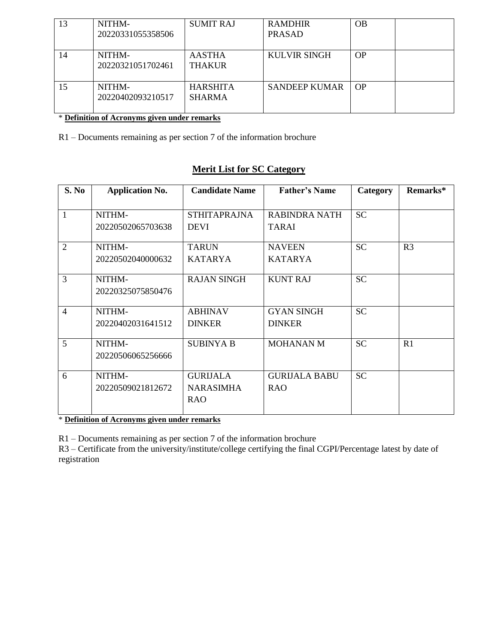| 13 | NITHM-<br>20220331055358506 | <b>SUMIT RAJ</b>                 | <b>RAMDHIR</b><br><b>PRASAD</b> | <b>OB</b> |  |
|----|-----------------------------|----------------------------------|---------------------------------|-----------|--|
| 14 | NITHM-<br>20220321051702461 | <b>AASTHA</b><br><b>THAKUR</b>   | <b>KULVIR SINGH</b>             | <b>OP</b> |  |
| 15 | NITHM-<br>20220402093210517 | <b>HARSHITA</b><br><b>SHARMA</b> | <b>SANDEEP KUMAR</b>            | OP        |  |

\* **Definition of Acronyms given under remarks**

R1 – Documents remaining as per section 7 of the information brochure

# **Merit List for SC Category**

| S. No          | <b>Application No.</b>      | <b>Candidate Name</b>                             | <b>Father's Name</b>               | <b>Category</b> | Remarks*       |
|----------------|-----------------------------|---------------------------------------------------|------------------------------------|-----------------|----------------|
| 1              | NITHM-<br>20220502065703638 | <b>STHITAPRAJNA</b><br><b>DEVI</b>                | RABINDRA NATH<br><b>TARAI</b>      | <b>SC</b>       |                |
| $\overline{2}$ | NITHM-<br>20220502040000632 | <b>TARUN</b><br><b>KATARYA</b>                    | <b>NAVEEN</b><br><b>KATARYA</b>    | <b>SC</b>       | R <sub>3</sub> |
| 3              | NITHM-<br>20220325075850476 | <b>RAJAN SINGH</b>                                | <b>KUNT RAJ</b>                    | <b>SC</b>       |                |
| $\overline{4}$ | NITHM-<br>20220402031641512 | <b>ABHINAV</b><br><b>DINKER</b>                   | <b>GYAN SINGH</b><br><b>DINKER</b> | <b>SC</b>       |                |
| 5              | NITHM-<br>20220506065256666 | <b>SUBINYA B</b>                                  | <b>MOHANAN M</b>                   | <b>SC</b>       | R1             |
| 6              | NITHM-<br>20220509021812672 | <b>GURIJALA</b><br><b>NARASIMHA</b><br><b>RAO</b> | <b>GURIJALA BABU</b><br><b>RAO</b> | <b>SC</b>       |                |

\* **Definition of Acronyms given under remarks**

R1 – Documents remaining as per section 7 of the information brochure

R3 – Certificate from the university/institute/college certifying the final CGPI/Percentage latest by date of registration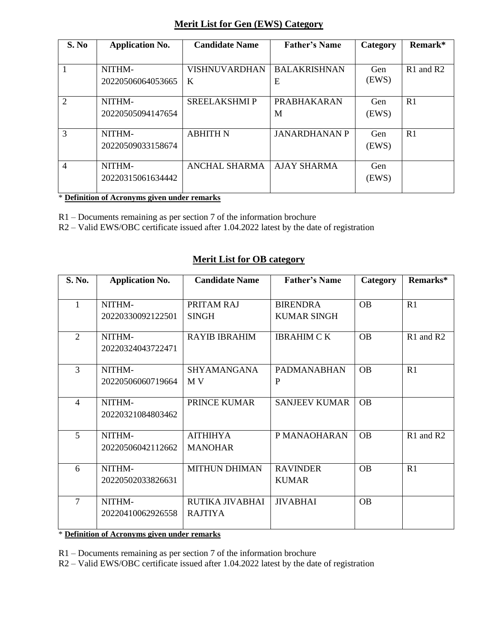# **Merit List for Gen (EWS) Category**

| S. No          | <b>Application No.</b>      | <b>Candidate Name</b>     | <b>Father's Name</b>     | Category     | Remark*        |
|----------------|-----------------------------|---------------------------|--------------------------|--------------|----------------|
|                | NITHM-<br>20220506064053665 | <b>VISHNUVARDHAN</b><br>K | <b>BALAKRISHNAN</b><br>E | Gen<br>(EWS) | $R1$ and $R2$  |
| $\overline{2}$ | NITHM-<br>20220505094147654 | <b>SREELAKSHMIP</b>       | <b>PRABHAKARAN</b><br>M  | Gen<br>(EWS) | R <sub>1</sub> |
| $\mathcal{R}$  | NITHM-<br>20220509033158674 | <b>ABHITH N</b>           | <b>JANARDHANAN P</b>     | Gen<br>(EWS) | R <sub>1</sub> |
| $\overline{4}$ | NITHM-<br>20220315061634442 | <b>ANCHAL SHARMA</b>      | <b>AJAY SHARMA</b>       | Gen<br>(EWS) |                |

\* **Definition of Acronyms given under remarks**

R1 – Documents remaining as per section 7 of the information brochure

R2 – Valid EWS/OBC certificate issued after 1.04.2022 latest by the date of registration

### **Merit List for OB category**

| S. No.         | <b>Application No.</b>      | <b>Candidate Name</b>             | <b>Father's Name</b>                  | Category  | Remarks*  |
|----------------|-----------------------------|-----------------------------------|---------------------------------------|-----------|-----------|
| 1              | NITHM-<br>20220330092122501 | PRITAM RAJ<br><b>SINGH</b>        | <b>BIRENDRA</b><br><b>KUMAR SINGH</b> | <b>OB</b> | R1        |
| 2              | NITHM-<br>20220324043722471 | <b>RAYIB IBRAHIM</b>              | <b>IBRAHIM C K</b>                    | <b>OB</b> | R1 and R2 |
| 3              | NITHM-<br>20220506060719664 | <b>SHYAMANGANA</b><br>M V         | <b>PADMANABHAN</b><br>P               | <b>OB</b> | R1        |
| $\overline{4}$ | NITHM-<br>20220321084803462 | PRINCE KUMAR                      | <b>SANJEEV KUMAR</b>                  | <b>OB</b> |           |
| 5              | NITHM-<br>20220506042112662 | <b>AITHIHYA</b><br><b>MANOHAR</b> | P MANAOHARAN                          | <b>OB</b> | R1 and R2 |
| 6              | NITHM-<br>20220502033826631 | <b>MITHUN DHIMAN</b>              | <b>RAVINDER</b><br><b>KUMAR</b>       | <b>OB</b> | R1        |
| $\tau$         | NITHM-<br>20220410062926558 | RUTIKA JIVABHAI<br><b>RAJTIYA</b> | <b>JIVABHAI</b>                       | <b>OB</b> |           |

\* **Definition of Acronyms given under remarks**

R1 – Documents remaining as per section 7 of the information brochure

R2 – Valid EWS/OBC certificate issued after 1.04.2022 latest by the date of registration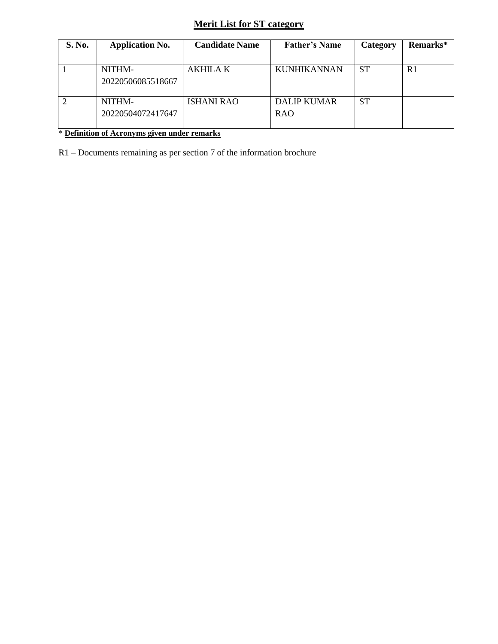# **Merit List for ST category**

| S. No. | <b>Application No.</b>      | <b>Candidate Name</b> | <b>Father's Name</b>             | Category | Remarks*       |
|--------|-----------------------------|-----------------------|----------------------------------|----------|----------------|
|        | NITHM-<br>20220506085518667 | AKHILA K              | <b>KUNHIKANNAN</b>               | ST       | R <sub>1</sub> |
|        | NITHM-<br>20220504072417647 | <b>ISHANI RAO</b>     | <b>DALIP KUMAR</b><br><b>RAO</b> | SТ       |                |

\* **Definition of Acronyms given under remarks**

R1 – Documents remaining as per section 7 of the information brochure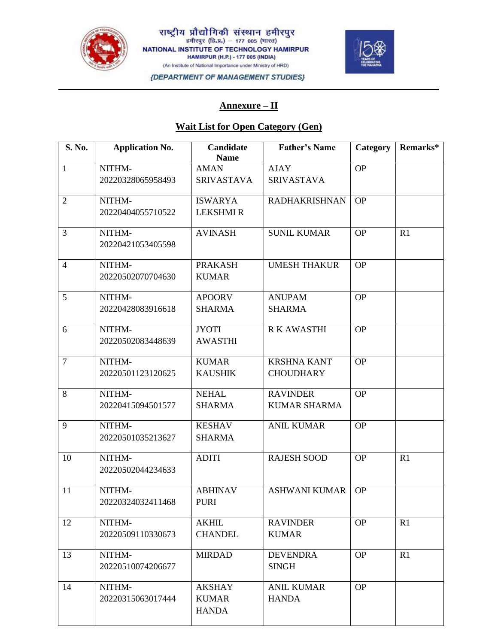

राष्ट्रीय प्रौद्योगिकी संस्थान हमीरपुर<br>स्मीरपुर (हि.प्र.) – 177 005 (मारत) NATIONAL INSTITUTE OF TECHNOLOGY HAMIRPUR **HAMIRPUR (H.P.) - 177 005 (INDIA)** (An Institute of National Importance under Ministry of HRD)



{DEPARTMENT OF MANAGEMENT STUDIES}

#### **Annexure – II**

# **Wait List for Open Category (Gen)**

| S. No.         | <b>Application No.</b> | Candidate<br><b>Name</b> | <b>Father's Name</b> | Category  | Remarks* |
|----------------|------------------------|--------------------------|----------------------|-----------|----------|
| $\mathbf{1}$   | NITHM-                 | <b>AMAN</b>              | <b>AJAY</b>          | <b>OP</b> |          |
|                | 20220328065958493      | <b>SRIVASTAVA</b>        | <b>SRIVASTAVA</b>    |           |          |
| $\overline{2}$ | NITHM-                 | <b>ISWARYA</b>           | <b>RADHAKRISHNAN</b> | <b>OP</b> |          |
|                | 20220404055710522      | <b>LEKSHMIR</b>          |                      |           |          |
| 3              | NITHM-                 | <b>AVINASH</b>           | <b>SUNIL KUMAR</b>   | <b>OP</b> | R1       |
|                | 20220421053405598      |                          |                      |           |          |
| $\overline{4}$ | NITHM-                 | <b>PRAKASH</b>           | <b>UMESH THAKUR</b>  | <b>OP</b> |          |
|                | 20220502070704630      | <b>KUMAR</b>             |                      |           |          |
| 5              | NITHM-                 | <b>APOORV</b>            | <b>ANUPAM</b>        | <b>OP</b> |          |
|                | 20220428083916618      | <b>SHARMA</b>            | <b>SHARMA</b>        |           |          |
| 6              | NITHM-                 | <b>JYOTI</b>             | <b>RK AWASTHI</b>    | <b>OP</b> |          |
|                | 20220502083448639      | <b>AWASTHI</b>           |                      |           |          |
| $\overline{7}$ | NITHM-                 | <b>KUMAR</b>             | <b>KRSHNA KANT</b>   | <b>OP</b> |          |
|                | 20220501123120625      | <b>KAUSHIK</b>           | <b>CHOUDHARY</b>     |           |          |
| 8              | NITHM-                 | <b>NEHAL</b>             | <b>RAVINDER</b>      | <b>OP</b> |          |
|                | 20220415094501577      | <b>SHARMA</b>            | <b>KUMAR SHARMA</b>  |           |          |
| 9              | NITHM-                 | <b>KESHAV</b>            | <b>ANIL KUMAR</b>    | <b>OP</b> |          |
|                | 20220501035213627      | <b>SHARMA</b>            |                      |           |          |
| 10             | NITHM-                 | <b>ADITI</b>             | <b>RAJESH SOOD</b>   | <b>OP</b> | R1       |
|                | 20220502044234633      |                          |                      |           |          |
| 11             | NITHM-                 | <b>ABHINAV</b>           | <b>ASHWANI KUMAR</b> | <b>OP</b> |          |
|                | 20220324032411468      | <b>PURI</b>              |                      |           |          |
| 12             | NITHM-                 | <b>AKHIL</b>             | <b>RAVINDER</b>      | <b>OP</b> | R1       |
|                | 20220509110330673      | <b>CHANDEL</b>           | <b>KUMAR</b>         |           |          |
| 13             | NITHM-                 | <b>MIRDAD</b>            | <b>DEVENDRA</b>      | <b>OP</b> | R1       |
|                | 20220510074206677      |                          | <b>SINGH</b>         |           |          |
| 14             | NITHM-                 | <b>AKSHAY</b>            | <b>ANIL KUMAR</b>    | <b>OP</b> |          |
|                | 20220315063017444      | <b>KUMAR</b>             | <b>HANDA</b>         |           |          |
|                |                        | <b>HANDA</b>             |                      |           |          |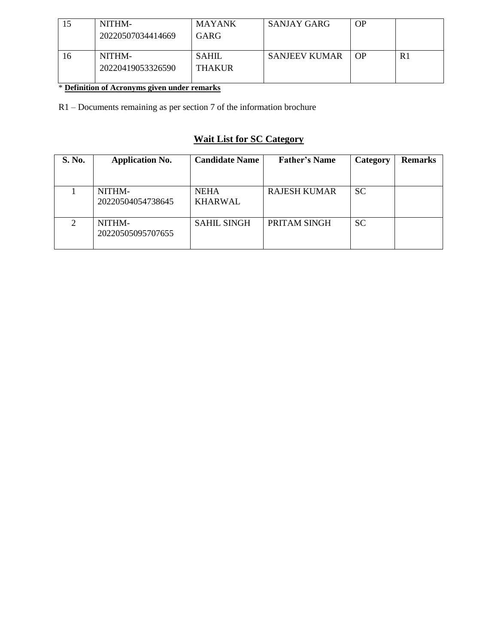|    | NITHM-<br>20220507034414669 | <b>MAYANK</b><br><b>GARG</b>  | <b>SANJAY GARG</b>   | OP       |    |
|----|-----------------------------|-------------------------------|----------------------|----------|----|
| 16 | NITHM-<br>20220419053326590 | <b>SAHIL</b><br><b>THAKUR</b> | <b>SANJEEV KUMAR</b> | $\Omega$ | R1 |

# \* **Definition of Acronyms given under remarks**

R1 – Documents remaining as per section 7 of the information brochure

# **Wait List for SC Category**

| S. No.        | <b>Application No.</b>      | <b>Candidate Name</b>         | <b>Father's Name</b> | Category  | <b>Remarks</b> |
|---------------|-----------------------------|-------------------------------|----------------------|-----------|----------------|
|               | NITHM-<br>20220504054738645 | <b>NEHA</b><br><b>KHARWAL</b> | <b>RAJESH KUMAR</b>  | <b>SC</b> |                |
| $\mathcal{D}$ | NITHM-<br>20220505095707655 | <b>SAHIL SINGH</b>            | PRITAM SINGH         | <b>SC</b> |                |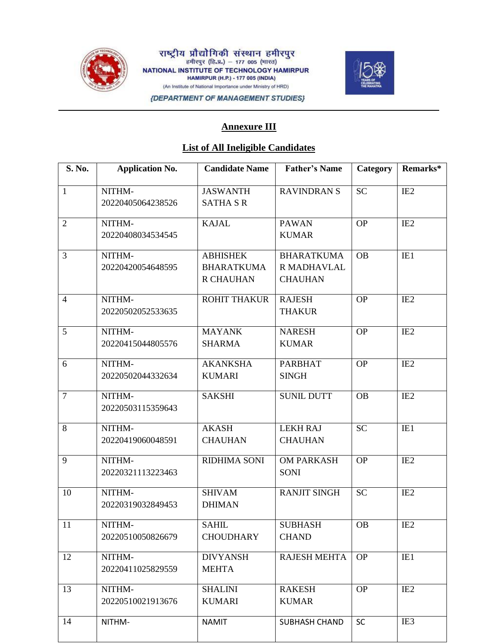

राष्ट्रीय प्रौद्योगिकी संस्थान हमीरपुर<br><sup>हमीरपुर (हि.प्र.) – 177 005 (मारत)</sup> NATIONAL INSTITUTE OF TECHNOLOGY HAMIRPUR **HAMIRPUR (H.P.) - 177 005 (INDIA)** (An Institute of National Importance under Ministry of HRD)



{DEPARTMENT OF MANAGEMENT STUDIES}

## **Annexure III**

#### **List of All Ineligible Candidates**

| S. No.         | <b>Application No.</b>      | <b>Candidate Name</b>                                    | <b>Father's Name</b>                               | Category  | Remarks*        |
|----------------|-----------------------------|----------------------------------------------------------|----------------------------------------------------|-----------|-----------------|
| $\mathbf{1}$   | NITHM-<br>20220405064238526 | <b>JASWANTH</b><br><b>SATHA S R</b>                      | <b>RAVINDRANS</b>                                  | <b>SC</b> | IE <sub>2</sub> |
| $\overline{2}$ | NITHM-<br>20220408034534545 | <b>KAJAL</b>                                             | <b>PAWAN</b><br><b>KUMAR</b>                       | <b>OP</b> | IE <sub>2</sub> |
| 3              | NITHM-<br>20220420054648595 | <b>ABHISHEK</b><br><b>BHARATKUMA</b><br><b>R CHAUHAN</b> | <b>BHARATKUMA</b><br>R MADHAVLAL<br><b>CHAUHAN</b> | <b>OB</b> | IE1             |
| $\overline{4}$ | NITHM-<br>20220502052533635 | <b>ROHIT THAKUR</b>                                      | <b>RAJESH</b><br><b>THAKUR</b>                     | <b>OP</b> | IE <sub>2</sub> |
| 5              | NITHM-<br>20220415044805576 | <b>MAYANK</b><br><b>SHARMA</b>                           | <b>NARESH</b><br><b>KUMAR</b>                      | <b>OP</b> | IE <sub>2</sub> |
| 6              | NITHM-<br>20220502044332634 | <b>AKANKSHA</b><br><b>KUMARI</b>                         | <b>PARBHAT</b><br><b>SINGH</b>                     | <b>OP</b> | IE <sub>2</sub> |
| $\overline{7}$ | NITHM-<br>20220503115359643 | <b>SAKSHI</b>                                            | <b>SUNIL DUTT</b>                                  | <b>OB</b> | IE <sub>2</sub> |
| 8              | NITHM-<br>20220419060048591 | <b>AKASH</b><br><b>CHAUHAN</b>                           | <b>LEKH RAJ</b><br><b>CHAUHAN</b>                  | <b>SC</b> | IE1             |
| 9              | NITHM-<br>20220321113223463 | <b>RIDHIMA SONI</b>                                      | <b>OM PARKASH</b><br><b>SONI</b>                   | <b>OP</b> | IE <sub>2</sub> |
| 10             | NITHM-<br>20220319032849453 | <b>SHIVAM</b><br><b>DHIMAN</b>                           | <b>RANJIT SINGH</b>                                | <b>SC</b> | IE <sub>2</sub> |
| 11             | NITHM-<br>20220510050826679 | <b>SAHIL</b><br><b>CHOUDHARY</b>                         | <b>SUBHASH</b><br><b>CHAND</b>                     | <b>OB</b> | IE <sub>2</sub> |
| 12             | NITHM-<br>20220411025829559 | <b>DIVYANSH</b><br><b>MEHTA</b>                          | <b>RAJESH MEHTA</b>                                | <b>OP</b> | IE1             |
| 13             | NITHM-<br>20220510021913676 | <b>SHALINI</b><br><b>KUMARI</b>                          | <b>RAKESH</b><br><b>KUMAR</b>                      | <b>OP</b> | IE <sub>2</sub> |
| 14             | NITHM-                      | <b>NAMIT</b>                                             | SUBHASH CHAND                                      | <b>SC</b> | IE3             |